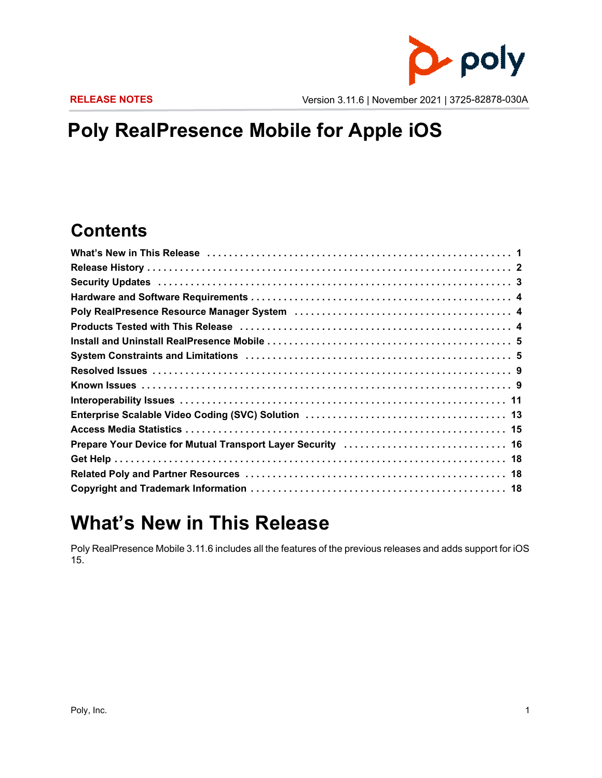

**RELEASE NOTES** Version 3.11.6 | November 2021 | 3725-82878-030A

## **Poly RealPresence Mobile for Apple iOS**

### **Contents**

| Security Updates (and all and all and all and all and all and all and all and all and all and all and all and security of 3 |  |
|-----------------------------------------------------------------------------------------------------------------------------|--|
|                                                                                                                             |  |
|                                                                                                                             |  |
|                                                                                                                             |  |
|                                                                                                                             |  |
|                                                                                                                             |  |
|                                                                                                                             |  |
|                                                                                                                             |  |
|                                                                                                                             |  |
|                                                                                                                             |  |
|                                                                                                                             |  |
|                                                                                                                             |  |
|                                                                                                                             |  |
|                                                                                                                             |  |
|                                                                                                                             |  |

## <span id="page-0-0"></span>**What's New in This Release**

Poly RealPresence Mobile 3.11.6 includes all the features of the previous releases and adds support for iOS 15.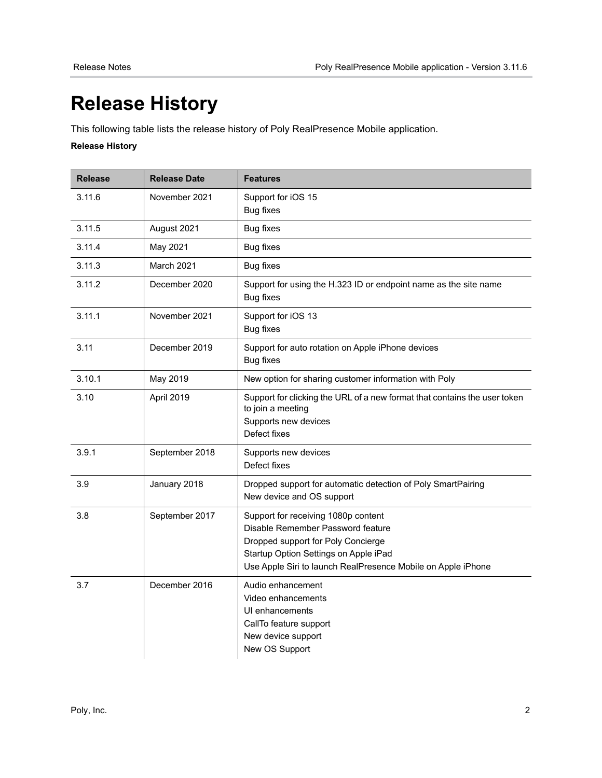# <span id="page-1-0"></span>**Release History**

This following table lists the release history of Poly RealPresence Mobile application.

### **Release History**

| <b>Release</b> | <b>Release Date</b> | <b>Features</b>                                                                                                                                                                                                         |
|----------------|---------------------|-------------------------------------------------------------------------------------------------------------------------------------------------------------------------------------------------------------------------|
| 3.11.6         | November 2021       | Support for iOS 15<br><b>Bug fixes</b>                                                                                                                                                                                  |
| 3.11.5         | August 2021         | <b>Bug fixes</b>                                                                                                                                                                                                        |
| 3.11.4         | May 2021            | <b>Bug fixes</b>                                                                                                                                                                                                        |
| 3.11.3         | March 2021          | <b>Bug fixes</b>                                                                                                                                                                                                        |
| 3.11.2         | December 2020       | Support for using the H.323 ID or endpoint name as the site name<br><b>Bug fixes</b>                                                                                                                                    |
| 3.11.1         | November 2021       | Support for iOS 13<br><b>Bug fixes</b>                                                                                                                                                                                  |
| 3.11           | December 2019       | Support for auto rotation on Apple iPhone devices<br><b>Bug fixes</b>                                                                                                                                                   |
| 3.10.1         | May 2019            | New option for sharing customer information with Poly                                                                                                                                                                   |
| 3.10           | April 2019          | Support for clicking the URL of a new format that contains the user token<br>to join a meeting<br>Supports new devices<br>Defect fixes                                                                                  |
| 3.9.1          | September 2018      | Supports new devices<br>Defect fixes                                                                                                                                                                                    |
| 3.9            | January 2018        | Dropped support for automatic detection of Poly SmartPairing<br>New device and OS support                                                                                                                               |
| 3.8            | September 2017      | Support for receiving 1080p content<br>Disable Remember Password feature<br>Dropped support for Poly Concierge<br>Startup Option Settings on Apple iPad<br>Use Apple Siri to launch RealPresence Mobile on Apple iPhone |
| 3.7            | December 2016       | Audio enhancement<br>Video enhancements<br>UI enhancements<br>CallTo feature support<br>New device support<br>New OS Support                                                                                            |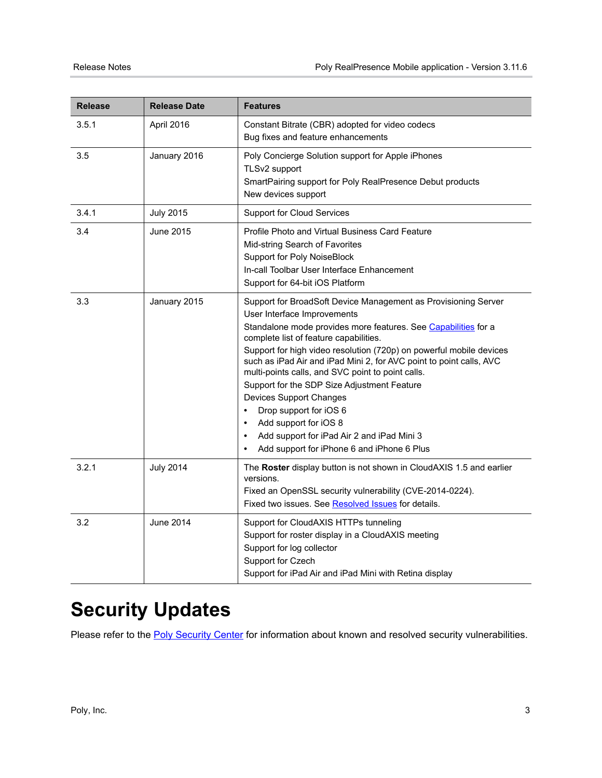| <b>Release</b> | <b>Release Date</b> | <b>Features</b>                                                                                                                                                                                                                                                                                                                                                                                                                                                                                                                                                                                                                                                                                  |
|----------------|---------------------|--------------------------------------------------------------------------------------------------------------------------------------------------------------------------------------------------------------------------------------------------------------------------------------------------------------------------------------------------------------------------------------------------------------------------------------------------------------------------------------------------------------------------------------------------------------------------------------------------------------------------------------------------------------------------------------------------|
| 3.5.1          | April 2016          | Constant Bitrate (CBR) adopted for video codecs<br>Bug fixes and feature enhancements                                                                                                                                                                                                                                                                                                                                                                                                                                                                                                                                                                                                            |
| 3.5            | January 2016        | Poly Concierge Solution support for Apple iPhones<br>TLSv2 support<br>SmartPairing support for Poly RealPresence Debut products<br>New devices support                                                                                                                                                                                                                                                                                                                                                                                                                                                                                                                                           |
| 3.4.1          | <b>July 2015</b>    | <b>Support for Cloud Services</b>                                                                                                                                                                                                                                                                                                                                                                                                                                                                                                                                                                                                                                                                |
| 3.4            | June 2015           | Profile Photo and Virtual Business Card Feature<br>Mid-string Search of Favorites<br><b>Support for Poly NoiseBlock</b><br>In-call Toolbar User Interface Enhancement<br>Support for 64-bit iOS Platform                                                                                                                                                                                                                                                                                                                                                                                                                                                                                         |
| 3.3            | January 2015        | Support for BroadSoft Device Management as Provisioning Server<br>User Interface Improvements<br>Standalone mode provides more features. See Capabilities for a<br>complete list of feature capabilities.<br>Support for high video resolution (720p) on powerful mobile devices<br>such as iPad Air and iPad Mini 2, for AVC point to point calls, AVC<br>multi-points calls, and SVC point to point calls.<br>Support for the SDP Size Adjustment Feature<br><b>Devices Support Changes</b><br>Drop support for iOS 6<br>$\bullet$<br>Add support for iOS 8<br>$\bullet$<br>Add support for iPad Air 2 and iPad Mini 3<br>$\bullet$<br>Add support for iPhone 6 and iPhone 6 Plus<br>$\bullet$ |
| 3.2.1          | <b>July 2014</b>    | The Roster display button is not shown in CloudAXIS 1.5 and earlier<br>versions.<br>Fixed an OpenSSL security vulnerability (CVE-2014-0224).<br>Fixed two issues. See Resolved Issues for details.                                                                                                                                                                                                                                                                                                                                                                                                                                                                                               |
| 3.2            | June 2014           | Support for CloudAXIS HTTPs tunneling<br>Support for roster display in a CloudAXIS meeting<br>Support for log collector<br>Support for Czech<br>Support for iPad Air and iPad Mini with Retina display                                                                                                                                                                                                                                                                                                                                                                                                                                                                                           |

# <span id="page-2-0"></span>**Security Updates**

Please refer to the **Poly Security Center** for information about known and resolved security vulnerabilities.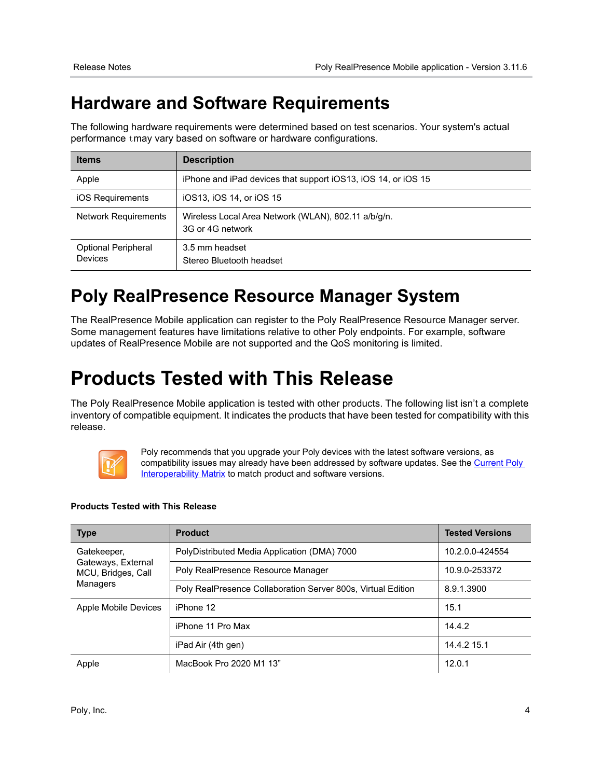### <span id="page-3-0"></span>**Hardware and Software Requirements**

The following hardware requirements were determined based on test scenarios. Your system's actual performance tmay vary based on software or hardware configurations.

| <b>Items</b>                          | <b>Description</b>                                                      |
|---------------------------------------|-------------------------------------------------------------------------|
| Apple                                 | iPhone and iPad devices that support iOS13, iOS 14, or iOS 15           |
| iOS Requirements                      | iOS13, iOS 14, or iOS 15                                                |
| <b>Network Requirements</b>           | Wireless Local Area Network (WLAN), 802.11 a/b/g/n.<br>3G or 4G network |
| <b>Optional Peripheral</b><br>Devices | 3.5 mm headset<br>Stereo Bluetooth headset                              |

### <span id="page-3-1"></span>**Poly RealPresence Resource Manager System**

The RealPresence Mobile application can register to the Poly RealPresence Resource Manager server. Some management features have limitations relative to other Poly endpoints. For example, software updates of RealPresence Mobile are not supported and the QoS monitoring is limited.

# <span id="page-3-2"></span>**Products Tested with This Release**

The Poly RealPresence Mobile application is tested with other products. The following list isn't a complete inventory of compatible equipment. It indicates the products that have been tested for compatibility with this release.



Poly recommends that you upgrade your Poly devices with the latest software versions, as compatibility issues may already have been addressed by software updates. See the Current Poly **[Interoperability Matrix](http://support.polycom.com/PolycomService/support/us/support/service_policies.html) to match product and software versions.** 

### **Products Tested with This Release**

| <b>Type</b>                              | <b>Product</b>                                               | <b>Tested Versions</b> |
|------------------------------------------|--------------------------------------------------------------|------------------------|
| Gatekeeper,                              | PolyDistributed Media Application (DMA) 7000                 | 10.2.0.0-424554        |
| Gateways, External<br>MCU, Bridges, Call | Poly RealPresence Resource Manager                           | 10.9.0-253372          |
| Managers                                 | Poly RealPresence Collaboration Server 800s, Virtual Edition | 8.9.1.3900             |
| Apple Mobile Devices                     | iPhone 12                                                    | 15.1                   |
|                                          | iPhone 11 Pro Max                                            | 14.4.2                 |
|                                          | iPad Air (4th gen)                                           | 14.4.2 15.1            |
| Apple                                    | MacBook Pro 2020 M1 13"                                      | 12.0.1                 |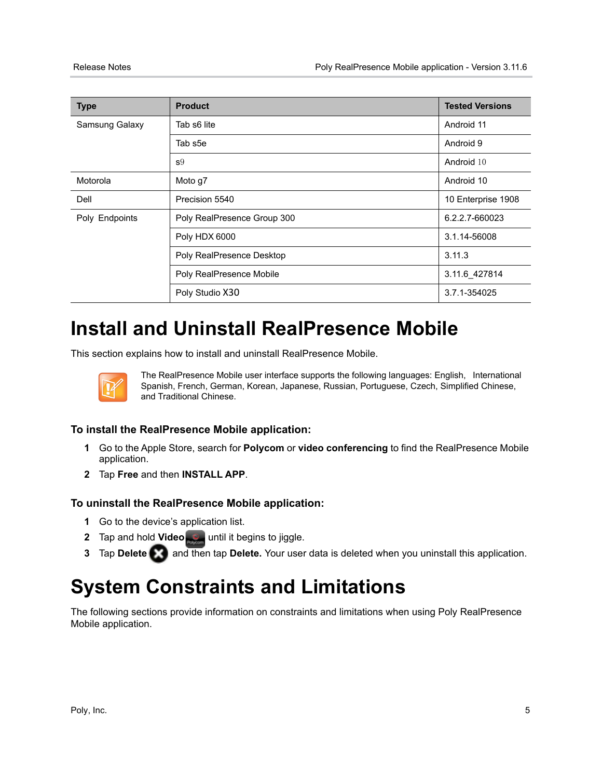| <b>Type</b>    | <b>Product</b>              | <b>Tested Versions</b> |
|----------------|-----------------------------|------------------------|
| Samsung Galaxy | Tab s6 lite                 | Android 11             |
|                | Tab s5e                     | Android 9              |
|                | S <sup>9</sup>              | Android 10             |
| Motorola       | Moto g7                     | Android 10             |
| Dell           | Precision 5540              | 10 Enterprise 1908     |
| Poly Endpoints | Poly RealPresence Group 300 | 6.2.2.7-660023         |
|                | Poly HDX 6000               | 3.1.14-56008           |
|                | Poly RealPresence Desktop   | 3.11.3                 |
|                | Poly RealPresence Mobile    | 3.11.6 427814          |
|                | Poly Studio X30             | 3.7.1-354025           |

# <span id="page-4-0"></span>**Install and Uninstall RealPresence Mobile**

This section explains how to install and uninstall RealPresence Mobile.



The RealPresence Mobile user interface supports the following languages: English, International Spanish, French, German, Korean, Japanese, Russian, Portuguese, Czech, Simplified Chinese, and Traditional Chinese.

### **To install the RealPresence Mobile application:**

- **1** Go to the Apple Store, search for **Polycom** or **video conferencing** to find the RealPresence Mobile application.
- **2** Tap **Free** and then **INSTALL APP**.

### **To uninstall the RealPresence Mobile application:**

- **1** Go to the device's application list.
- **2** Tap and hold **Video particular is the gins to jiggle.**
- **3** Tap Delete **and then tap Delete.** Your user data is deleted when you uninstall this application.

## <span id="page-4-1"></span>**System Constraints and Limitations**

The following sections provide information on constraints and limitations when using Poly RealPresence Mobile application.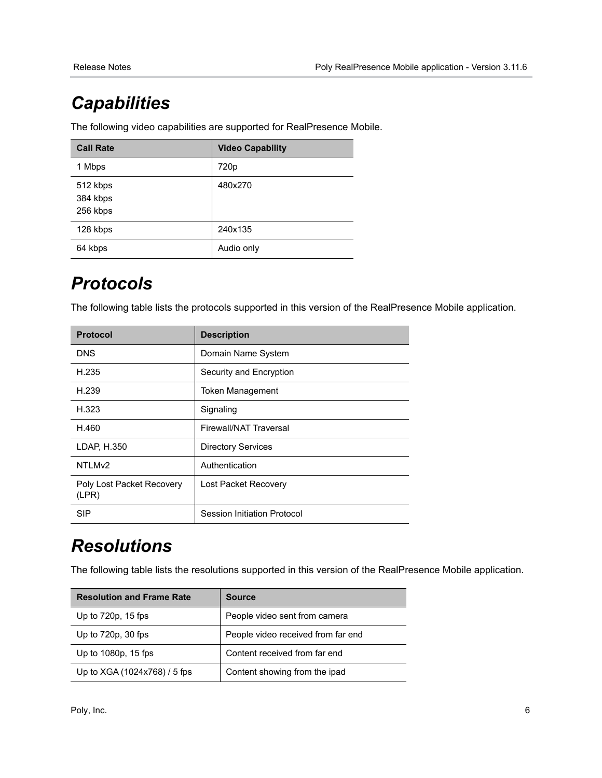# <span id="page-5-0"></span>*Capabilities*

The following video capabilities are supported for RealPresence Mobile.

| <b>Call Rate</b>                 | <b>Video Capability</b> |
|----------------------------------|-------------------------|
| 1 Mbps                           | 720p                    |
| 512 kbps<br>384 kbps<br>256 kbps | 480x270                 |
| 128 kbps                         | 240x135                 |
| 64 kbps                          | Audio only              |

## *Protocols*

The following table lists the protocols supported in this version of the RealPresence Mobile application.

| <b>Protocol</b>                    | <b>Description</b>          |
|------------------------------------|-----------------------------|
| <b>DNS</b>                         | Domain Name System          |
| H.235                              | Security and Encryption     |
| H.239                              | <b>Token Management</b>     |
| H.323                              | Signaling                   |
| H.460                              | Firewall/NAT Traversal      |
| LDAP, H.350                        | <b>Directory Services</b>   |
| NTLM <sub>v2</sub>                 | Authentication              |
| Poly Lost Packet Recovery<br>(LPR) | Lost Packet Recovery        |
| <b>SIP</b>                         | Session Initiation Protocol |

## *Resolutions*

The following table lists the resolutions supported in this version of the RealPresence Mobile application.

| <b>Resolution and Frame Rate</b> | <b>Source</b>                      |
|----------------------------------|------------------------------------|
| Up to 720p, 15 fps               | People video sent from camera      |
| Up to $720p$ , $30$ fps          | People video received from far end |
| Up to 1080p, 15 fps              | Content received from far end      |
| Up to XGA (1024x768) / 5 fps     | Content showing from the ipad      |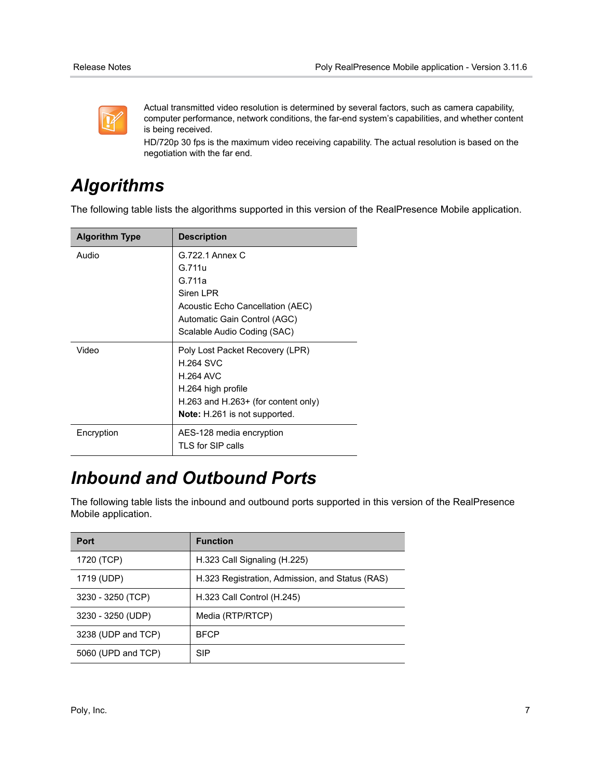

Actual transmitted video resolution is determined by several factors, such as camera capability, computer performance, network conditions, the far-end system's capabilities, and whether content is being received.

HD/720p 30 fps is the maximum video receiving capability. The actual resolution is based on the negotiation with the far end.

### *Algorithms*

The following table lists the algorithms supported in this version of the RealPresence Mobile application.

| <b>Algorithm Type</b> | <b>Description</b>                                                                                                                                                           |
|-----------------------|------------------------------------------------------------------------------------------------------------------------------------------------------------------------------|
| Audio                 | G.722.1 Annex C<br>G.711u<br>G.711a<br>Siren I PR<br>Acoustic Echo Cancellation (AEC)                                                                                        |
|                       | Automatic Gain Control (AGC)<br>Scalable Audio Coding (SAC)                                                                                                                  |
| Video                 | Poly Lost Packet Recovery (LPR)<br><b>H.264 SVC</b><br><b>H.264 AVC</b><br>H.264 high profile<br>H.263 and H.263+ (for content only)<br><b>Note:</b> H.261 is not supported. |
| Encryption            | AES-128 media encryption<br>TLS for SIP calls                                                                                                                                |

### *Inbound and Outbound Ports*

The following table lists the inbound and outbound ports supported in this version of the RealPresence Mobile application.

| Port               | <b>Function</b>                                 |
|--------------------|-------------------------------------------------|
| 1720 (TCP)         | H.323 Call Signaling (H.225)                    |
| 1719 (UDP)         | H.323 Registration, Admission, and Status (RAS) |
| 3230 - 3250 (TCP)  | H.323 Call Control (H.245)                      |
| 3230 - 3250 (UDP)  | Media (RTP/RTCP)                                |
| 3238 (UDP and TCP) | <b>BFCP</b>                                     |
| 5060 (UPD and TCP) | SIP                                             |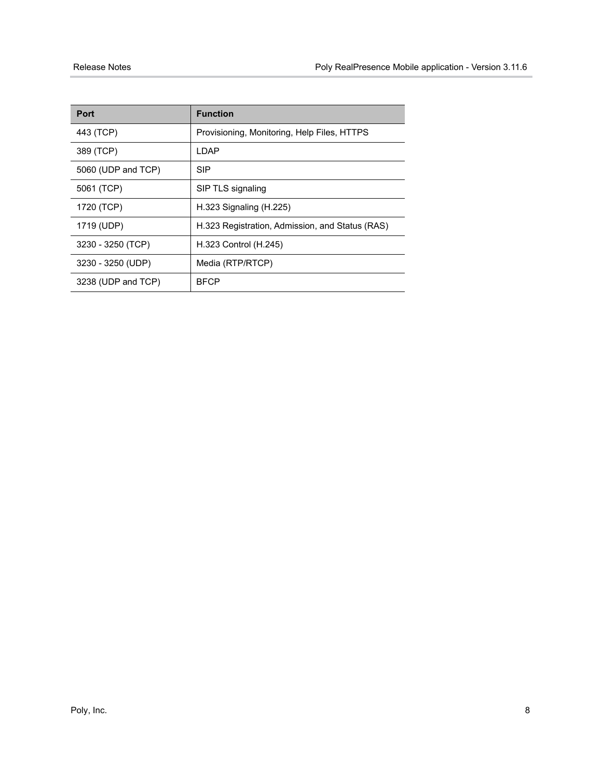| <b>Port</b>        | <b>Function</b>                                 |
|--------------------|-------------------------------------------------|
| 443 (TCP)          | Provisioning, Monitoring, Help Files, HTTPS     |
| 389 (TCP)          | I DAP                                           |
| 5060 (UDP and TCP) | <b>SIP</b>                                      |
| 5061 (TCP)         | SIP TLS signaling                               |
| 1720 (TCP)         | $H.323$ Signaling ( $H.225$ )                   |
| 1719 (UDP)         | H.323 Registration, Admission, and Status (RAS) |
| 3230 - 3250 (TCP)  | H.323 Control (H.245)                           |
| 3230 - 3250 (UDP)  | Media (RTP/RTCP)                                |
| 3238 (UDP and TCP) | <b>BFCP</b>                                     |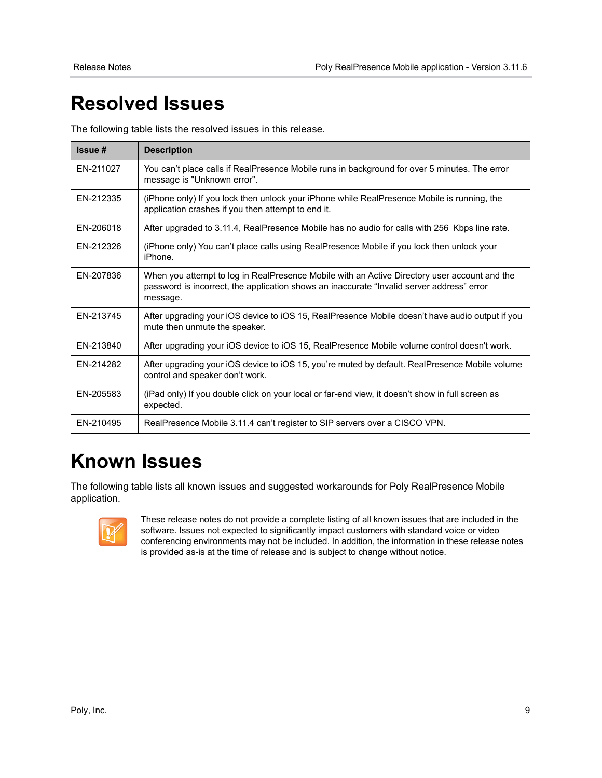# <span id="page-8-0"></span>**Resolved Issues**

The following table lists the resolved issues in this release.

| Issue #   | <b>Description</b>                                                                                                                                                                                    |
|-----------|-------------------------------------------------------------------------------------------------------------------------------------------------------------------------------------------------------|
| EN-211027 | You can't place calls if RealPresence Mobile runs in background for over 5 minutes. The error<br>message is "Unknown error".                                                                          |
| EN-212335 | (iPhone only) If you lock then unlock your iPhone while RealPresence Mobile is running, the<br>application crashes if you then attempt to end it.                                                     |
| EN-206018 | After upgraded to 3.11.4, RealPresence Mobile has no audio for calls with 256 Kbps line rate.                                                                                                         |
| EN-212326 | (iPhone only) You can't place calls using RealPresence Mobile if you lock then unlock your<br>iPhone.                                                                                                 |
| EN-207836 | When you attempt to log in RealPresence Mobile with an Active Directory user account and the<br>password is incorrect, the application shows an inaccurate "Invalid server address" error<br>message. |
| EN-213745 | After upgrading your iOS device to iOS 15, RealPresence Mobile doesn't have audio output if you<br>mute then unmute the speaker.                                                                      |
| EN-213840 | After upgrading your iOS device to iOS 15, RealPresence Mobile volume control doesn't work.                                                                                                           |
| FN-214282 | After upgrading your iOS device to iOS 15, you're muted by default. RealPresence Mobile volume<br>control and speaker don't work.                                                                     |
| EN-205583 | (iPad only) If you double click on your local or far-end view, it doesn't show in full screen as<br>expected.                                                                                         |
| EN-210495 | RealPresence Mobile 3.11.4 can't register to SIP servers over a CISCO VPN.                                                                                                                            |

## <span id="page-8-1"></span>**Known Issues**

The following table lists all known issues and suggested workarounds for Poly RealPresence Mobile application.



These release notes do not provide a complete listing of all known issues that are included in the software. Issues not expected to significantly impact customers with standard voice or video conferencing environments may not be included. In addition, the information in these release notes is provided as-is at the time of release and is subject to change without notice.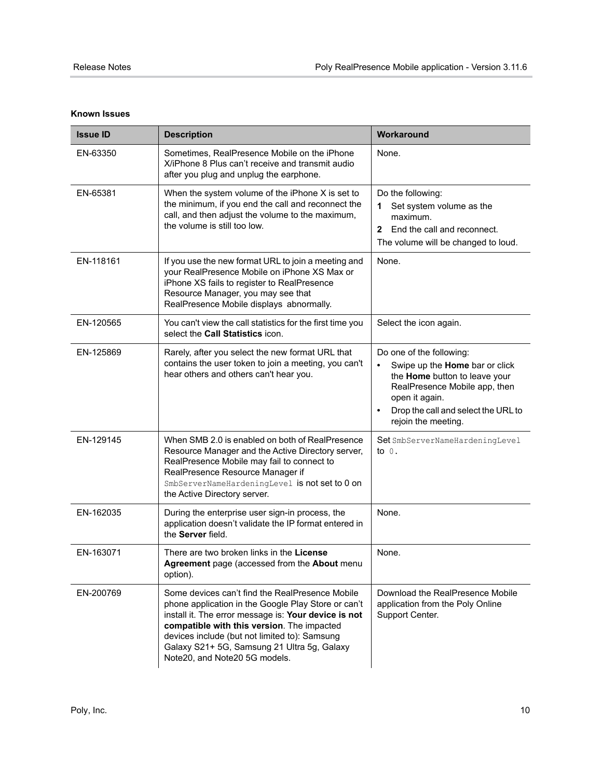| <b>Known Issues</b> |  |
|---------------------|--|
|---------------------|--|

| <b>Issue ID</b> | <b>Description</b>                                                                                                                                                                                                                                                                                                                            | Workaround                                                                                                                                                                                                                             |
|-----------------|-----------------------------------------------------------------------------------------------------------------------------------------------------------------------------------------------------------------------------------------------------------------------------------------------------------------------------------------------|----------------------------------------------------------------------------------------------------------------------------------------------------------------------------------------------------------------------------------------|
| EN-63350        | Sometimes, RealPresence Mobile on the iPhone<br>X/iPhone 8 Plus can't receive and transmit audio<br>after you plug and unplug the earphone.                                                                                                                                                                                                   | None.                                                                                                                                                                                                                                  |
| EN-65381        | When the system volume of the iPhone X is set to<br>the minimum, if you end the call and reconnect the<br>call, and then adjust the volume to the maximum,<br>the volume is still too low.                                                                                                                                                    | Do the following:<br>Set system volume as the<br>1.<br>maximum.<br>End the call and reconnect.<br>$\mathbf{2}$<br>The volume will be changed to loud.                                                                                  |
| EN-118161       | If you use the new format URL to join a meeting and<br>your RealPresence Mobile on iPhone XS Max or<br>iPhone XS fails to register to RealPresence<br>Resource Manager, you may see that<br>RealPresence Mobile displays abnormally.                                                                                                          | None.                                                                                                                                                                                                                                  |
| EN-120565       | You can't view the call statistics for the first time you<br>select the Call Statistics icon.                                                                                                                                                                                                                                                 | Select the icon again.                                                                                                                                                                                                                 |
| EN-125869       | Rarely, after you select the new format URL that<br>contains the user token to join a meeting, you can't<br>hear others and others can't hear you.                                                                                                                                                                                            | Do one of the following:<br>Swipe up the Home bar or click<br>$\bullet$<br>the Home button to leave your<br>RealPresence Mobile app, then<br>open it again.<br>Drop the call and select the URL to<br>$\bullet$<br>rejoin the meeting. |
| EN-129145       | When SMB 2.0 is enabled on both of RealPresence<br>Resource Manager and the Active Directory server,<br>RealPresence Mobile may fail to connect to<br>RealPresence Resource Manager if<br>SmbServerNameHardeningLevel is not set to 0 on<br>the Active Directory server.                                                                      | Set SmbServerNameHardeningLevel<br>to $0$ .                                                                                                                                                                                            |
| EN-162035       | During the enterprise user sign-in process, the<br>application doesn't validate the IP format entered in<br>the Server field.                                                                                                                                                                                                                 | None.                                                                                                                                                                                                                                  |
| EN-163071       | There are two broken links in the License<br>Agreement page (accessed from the About menu<br>option).                                                                                                                                                                                                                                         | None.                                                                                                                                                                                                                                  |
| EN-200769       | Some devices can't find the RealPresence Mobile<br>phone application in the Google Play Store or can't<br>install it. The error message is: Your device is not<br>compatible with this version. The impacted<br>devices include (but not limited to): Samsung<br>Galaxy S21+ 5G, Samsung 21 Ultra 5g, Galaxy<br>Note20, and Note20 5G models. | Download the RealPresence Mobile<br>application from the Poly Online<br>Support Center.                                                                                                                                                |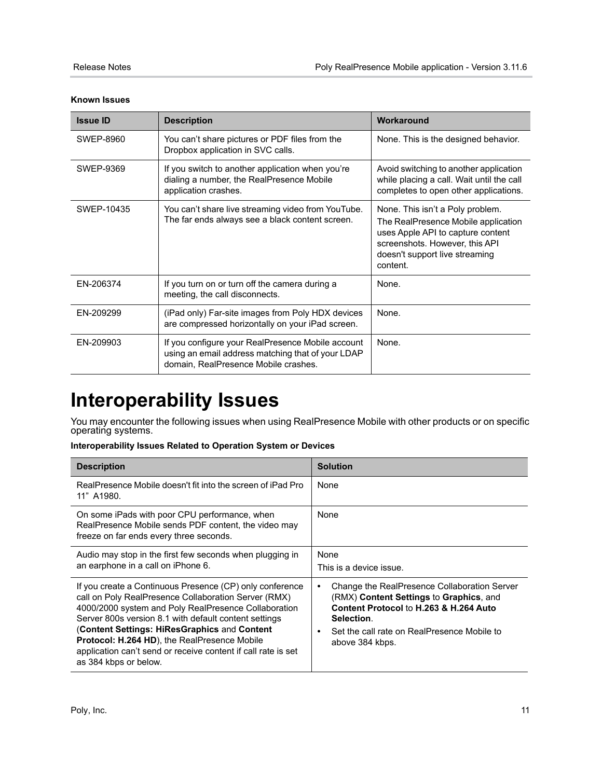| <b>Issue ID</b> | <b>Description</b>                                                                                                                             | Workaround                                                                                                                                                                                   |
|-----------------|------------------------------------------------------------------------------------------------------------------------------------------------|----------------------------------------------------------------------------------------------------------------------------------------------------------------------------------------------|
| SWEP-8960       | You can't share pictures or PDF files from the<br>Dropbox application in SVC calls.                                                            | None. This is the designed behavior.                                                                                                                                                         |
| SWEP-9369       | If you switch to another application when you're<br>dialing a number, the RealPresence Mobile<br>application crashes.                          | Avoid switching to another application<br>while placing a call. Wait until the call<br>completes to open other applications.                                                                 |
| SWFP-10435      | You can't share live streaming video from YouTube.<br>The far ends always see a black content screen.                                          | None. This isn't a Poly problem.<br>The RealPresence Mobile application<br>uses Apple API to capture content<br>screenshots. However, this API<br>doesn't support live streaming<br>content. |
| EN-206374       | If you turn on or turn off the camera during a<br>meeting, the call disconnects.                                                               | None.                                                                                                                                                                                        |
| EN-209299       | (iPad only) Far-site images from Poly HDX devices<br>are compressed horizontally on your iPad screen.                                          | None.                                                                                                                                                                                        |
| EN-209903       | If you configure your RealPresence Mobile account<br>using an email address matching that of your LDAP<br>domain. RealPresence Mobile crashes. | None.                                                                                                                                                                                        |

#### **Known Issues**

# <span id="page-10-0"></span>**Interoperability Issues**

You may encounter the following issues when using RealPresence Mobile with other products or on specific operating systems.

#### **Interoperability Issues Related to Operation System or Devices**

| <b>Description</b>                                                                                                                                                                                                                                                                                                                                                                                                                 | <b>Solution</b>                                                                                                                                                                                                                     |
|------------------------------------------------------------------------------------------------------------------------------------------------------------------------------------------------------------------------------------------------------------------------------------------------------------------------------------------------------------------------------------------------------------------------------------|-------------------------------------------------------------------------------------------------------------------------------------------------------------------------------------------------------------------------------------|
| RealPresence Mobile doesn't fit into the screen of iPad Pro<br>11" A1980.                                                                                                                                                                                                                                                                                                                                                          | None                                                                                                                                                                                                                                |
| On some iPads with poor CPU performance, when<br>RealPresence Mobile sends PDF content, the video may<br>freeze on far ends every three seconds.                                                                                                                                                                                                                                                                                   | None                                                                                                                                                                                                                                |
| Audio may stop in the first few seconds when plugging in<br>an earphone in a call on iPhone 6.                                                                                                                                                                                                                                                                                                                                     | None<br>This is a device issue.                                                                                                                                                                                                     |
| If you create a Continuous Presence (CP) only conference<br>call on Poly RealPresence Collaboration Server (RMX)<br>4000/2000 system and Poly RealPresence Collaboration<br>Server 800s version 8.1 with default content settings<br>(Content Settings: HiResGraphics and Content<br><b>Protocol: H.264 HD), the RealPresence Mobile</b><br>application can't send or receive content if call rate is set<br>as 384 kbps or below. | Change the RealPresence Collaboration Server<br>$\bullet$<br>(RMX) Content Settings to Graphics, and<br>Content Protocol to H.263 & H.264 Auto<br>Selection.<br>Set the call rate on RealPresence Mobile to<br>٠<br>above 384 kbps. |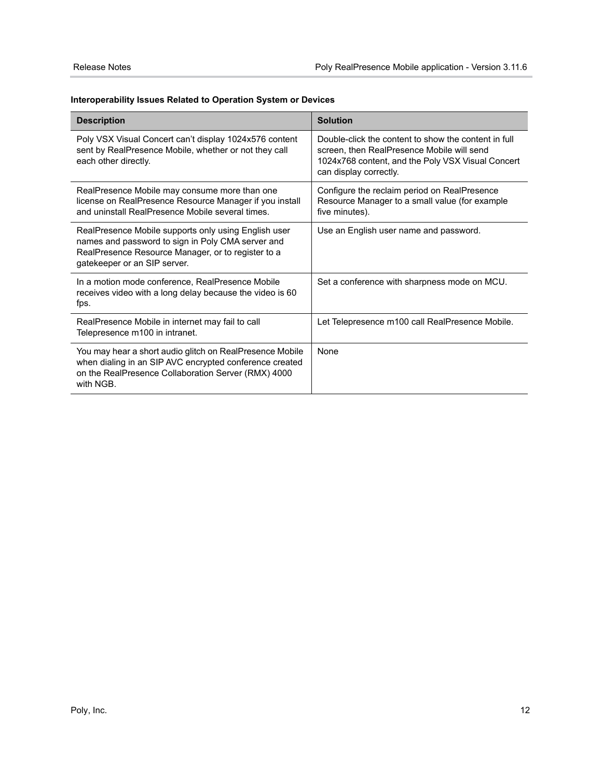#### **Interoperability Issues Related to Operation System or Devices**

| <b>Description</b>                                                                                                                                                                              | <b>Solution</b>                                                                                                                                                                   |
|-------------------------------------------------------------------------------------------------------------------------------------------------------------------------------------------------|-----------------------------------------------------------------------------------------------------------------------------------------------------------------------------------|
| Poly VSX Visual Concert can't display 1024x576 content<br>sent by RealPresence Mobile, whether or not they call<br>each other directly.                                                         | Double-click the content to show the content in full<br>screen, then RealPresence Mobile will send<br>1024x768 content, and the Poly VSX Visual Concert<br>can display correctly. |
| RealPresence Mobile may consume more than one<br>license on RealPresence Resource Manager if you install<br>and uninstall RealPresence Mobile several times.                                    | Configure the reclaim period on RealPresence<br>Resource Manager to a small value (for example<br>five minutes).                                                                  |
| RealPresence Mobile supports only using English user<br>names and password to sign in Poly CMA server and<br>RealPresence Resource Manager, or to register to a<br>gatekeeper or an SIP server. | Use an English user name and password.                                                                                                                                            |
| In a motion mode conference, RealPresence Mobile<br>receives video with a long delay because the video is 60<br>fps.                                                                            | Set a conference with sharpness mode on MCU.                                                                                                                                      |
| RealPresence Mobile in internet may fail to call<br>Telepresence m100 in intranet.                                                                                                              | Let Telepresence m100 call RealPresence Mobile.                                                                                                                                   |
| You may hear a short audio glitch on RealPresence Mobile<br>when dialing in an SIP AVC encrypted conference created<br>on the RealPresence Collaboration Server (RMX) 4000<br>with NGB.         | None                                                                                                                                                                              |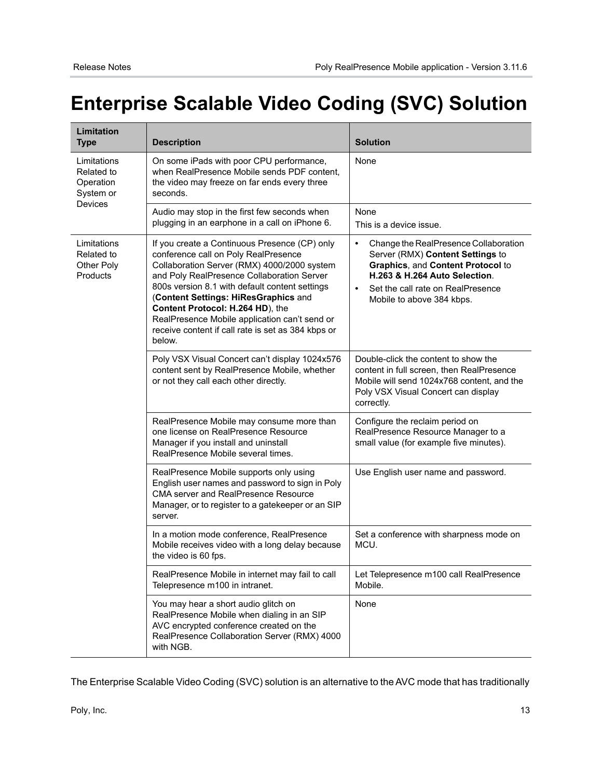# <span id="page-12-0"></span>**Enterprise Scalable Video Coding (SVC) Solution**

| Limitation<br><b>Type</b>                           | <b>Description</b>                                                                                                                                                                                                                                                                                                                                                                                                                | <b>Solution</b>                                                                                                                                                                                                                             |
|-----------------------------------------------------|-----------------------------------------------------------------------------------------------------------------------------------------------------------------------------------------------------------------------------------------------------------------------------------------------------------------------------------------------------------------------------------------------------------------------------------|---------------------------------------------------------------------------------------------------------------------------------------------------------------------------------------------------------------------------------------------|
| Limitations<br>Related to<br>Operation<br>System or | On some iPads with poor CPU performance,<br>when RealPresence Mobile sends PDF content,<br>the video may freeze on far ends every three<br>seconds.                                                                                                                                                                                                                                                                               | None                                                                                                                                                                                                                                        |
| Devices                                             | Audio may stop in the first few seconds when<br>plugging in an earphone in a call on iPhone 6.                                                                                                                                                                                                                                                                                                                                    | None<br>This is a device issue.                                                                                                                                                                                                             |
| Limitations<br>Related to<br>Other Poly<br>Products | If you create a Continuous Presence (CP) only<br>conference call on Poly RealPresence<br>Collaboration Server (RMX) 4000/2000 system<br>and Poly RealPresence Collaboration Server<br>800s version 8.1 with default content settings<br>(Content Settings: HiResGraphics and<br>Content Protocol: H.264 HD), the<br>RealPresence Mobile application can't send or<br>receive content if call rate is set as 384 kbps or<br>below. | Change the RealPresence Collaboration<br>$\bullet$<br>Server (RMX) Content Settings to<br>Graphics, and Content Protocol to<br>H.263 & H.264 Auto Selection.<br>Set the call rate on RealPresence<br>$\bullet$<br>Mobile to above 384 kbps. |
|                                                     | Poly VSX Visual Concert can't display 1024x576<br>content sent by RealPresence Mobile, whether<br>or not they call each other directly.                                                                                                                                                                                                                                                                                           | Double-click the content to show the<br>content in full screen, then RealPresence<br>Mobile will send 1024x768 content, and the<br>Poly VSX Visual Concert can display<br>correctly.                                                        |
|                                                     | RealPresence Mobile may consume more than<br>one license on RealPresence Resource<br>Manager if you install and uninstall<br>RealPresence Mobile several times.                                                                                                                                                                                                                                                                   | Configure the reclaim period on<br>RealPresence Resource Manager to a<br>small value (for example five minutes).                                                                                                                            |
|                                                     | RealPresence Mobile supports only using<br>English user names and password to sign in Poly<br><b>CMA server and RealPresence Resource</b><br>Manager, or to register to a gatekeeper or an SIP<br>server.                                                                                                                                                                                                                         | Use English user name and password.                                                                                                                                                                                                         |
|                                                     | In a motion mode conference, RealPresence<br>Mobile receives video with a long delay because<br>the video is 60 fps.                                                                                                                                                                                                                                                                                                              | Set a conference with sharpness mode on<br>MCU.                                                                                                                                                                                             |
|                                                     | RealPresence Mobile in internet may fail to call<br>Telepresence m100 in intranet.                                                                                                                                                                                                                                                                                                                                                | Let Telepresence m100 call RealPresence<br>Mobile.                                                                                                                                                                                          |
|                                                     | You may hear a short audio glitch on<br>RealPresence Mobile when dialing in an SIP<br>AVC encrypted conference created on the<br>RealPresence Collaboration Server (RMX) 4000<br>with NGB.                                                                                                                                                                                                                                        | None                                                                                                                                                                                                                                        |

The Enterprise Scalable Video Coding (SVC) solution is an alternative to the AVC mode that has traditionally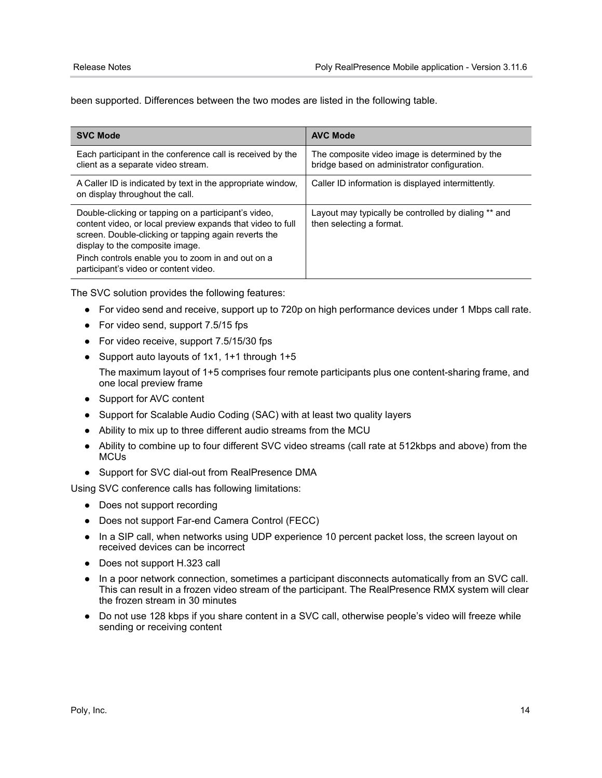been supported. Differences between the two modes are listed in the following table.

| <b>SVC Mode</b>                                                                                                                                                                                                                                                                                             | <b>AVC Mode</b>                                                                                |
|-------------------------------------------------------------------------------------------------------------------------------------------------------------------------------------------------------------------------------------------------------------------------------------------------------------|------------------------------------------------------------------------------------------------|
| Each participant in the conference call is received by the<br>client as a separate video stream.                                                                                                                                                                                                            | The composite video image is determined by the<br>bridge based on administrator configuration. |
| A Caller ID is indicated by text in the appropriate window,<br>on display throughout the call.                                                                                                                                                                                                              | Caller ID information is displayed intermittently.                                             |
| Double-clicking or tapping on a participant's video,<br>content video, or local preview expands that video to full<br>screen. Double-clicking or tapping again reverts the<br>display to the composite image.<br>Pinch controls enable you to zoom in and out on a<br>participant's video or content video. | Layout may typically be controlled by dialing ** and<br>then selecting a format.               |

The SVC solution provides the following features:

- **●** For video send and receive, support up to 720p on high performance devices under 1 Mbps call rate.
- **●** For video send, support 7.5/15 fps
- **●** For video receive, support 7.5/15/30 fps
- **●** Support auto layouts of 1x1, 1+1 through 1+5
- The maximum layout of 1+5 comprises four remote participants plus one content-sharing frame, and one local preview frame
- **●** Support for AVC content
- **●** Support for Scalable Audio Coding (SAC) with at least two quality layers
- **●** Ability to mix up to three different audio streams from the MCU
- **●** Ability to combine up to four different SVC video streams (call rate at 512kbps and above) from the **MCUs**
- **●** Support for SVC dial-out from RealPresence DMA

Using SVC conference calls has following limitations:

- **●** Does not support recording
- **●** Does not support Far-end Camera Control (FECC)
- **●** In a SIP call, when networks using UDP experience 10 percent packet loss, the screen layout on received devices can be incorrect
- **●** Does not support H.323 call
- **●** In a poor network connection, sometimes a participant disconnects automatically from an SVC call. This can result in a frozen video stream of the participant. The RealPresence RMX system will clear the frozen stream in 30 minutes
- **●** Do not use 128 kbps if you share content in a SVC call, otherwise people's video will freeze while sending or receiving content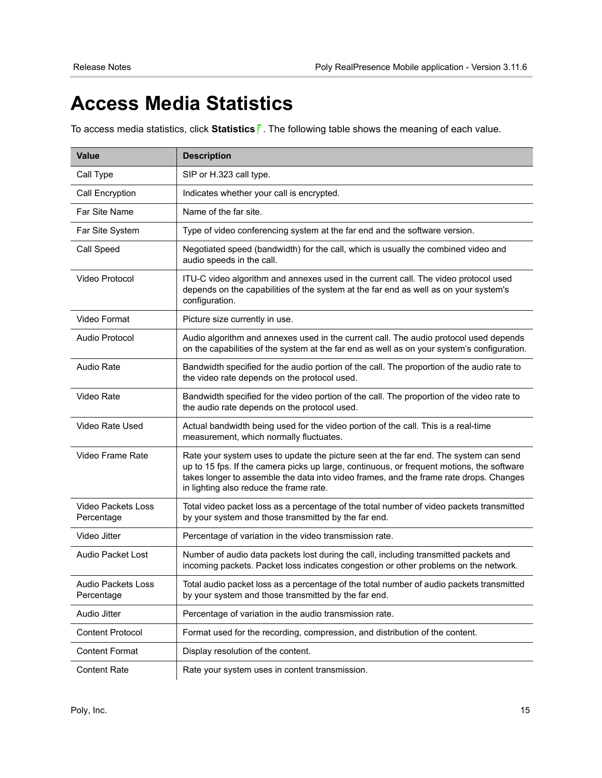# <span id="page-14-0"></span>**Access Media Statistics**

To access media statistics, click **Statistics** . The following table shows the meaning of each value.

| <b>Value</b>                     | <b>Description</b>                                                                                                                                                                                                                                                                                                     |
|----------------------------------|------------------------------------------------------------------------------------------------------------------------------------------------------------------------------------------------------------------------------------------------------------------------------------------------------------------------|
| Call Type                        | SIP or H.323 call type.                                                                                                                                                                                                                                                                                                |
| Call Encryption                  | Indicates whether your call is encrypted.                                                                                                                                                                                                                                                                              |
| Far Site Name                    | Name of the far site.                                                                                                                                                                                                                                                                                                  |
| Far Site System                  | Type of video conferencing system at the far end and the software version.                                                                                                                                                                                                                                             |
| Call Speed                       | Negotiated speed (bandwidth) for the call, which is usually the combined video and<br>audio speeds in the call.                                                                                                                                                                                                        |
| Video Protocol                   | ITU-C video algorithm and annexes used in the current call. The video protocol used<br>depends on the capabilities of the system at the far end as well as on your system's<br>configuration.                                                                                                                          |
| Video Format                     | Picture size currently in use.                                                                                                                                                                                                                                                                                         |
| Audio Protocol                   | Audio algorithm and annexes used in the current call. The audio protocol used depends<br>on the capabilities of the system at the far end as well as on your system's configuration.                                                                                                                                   |
| <b>Audio Rate</b>                | Bandwidth specified for the audio portion of the call. The proportion of the audio rate to<br>the video rate depends on the protocol used.                                                                                                                                                                             |
| Video Rate                       | Bandwidth specified for the video portion of the call. The proportion of the video rate to<br>the audio rate depends on the protocol used.                                                                                                                                                                             |
| Video Rate Used                  | Actual bandwidth being used for the video portion of the call. This is a real-time<br>measurement, which normally fluctuates.                                                                                                                                                                                          |
| Video Frame Rate                 | Rate your system uses to update the picture seen at the far end. The system can send<br>up to 15 fps. If the camera picks up large, continuous, or frequent motions, the software<br>takes longer to assemble the data into video frames, and the frame rate drops. Changes<br>in lighting also reduce the frame rate. |
| Video Packets Loss<br>Percentage | Total video packet loss as a percentage of the total number of video packets transmitted<br>by your system and those transmitted by the far end.                                                                                                                                                                       |
| Video Jitter                     | Percentage of variation in the video transmission rate.                                                                                                                                                                                                                                                                |
| <b>Audio Packet Lost</b>         | Number of audio data packets lost during the call, including transmitted packets and<br>incoming packets. Packet loss indicates congestion or other problems on the network.                                                                                                                                           |
| Audio Packets Loss<br>Percentage | Total audio packet loss as a percentage of the total number of audio packets transmitted<br>by your system and those transmitted by the far end.                                                                                                                                                                       |
| Audio Jitter                     | Percentage of variation in the audio transmission rate.                                                                                                                                                                                                                                                                |
| <b>Content Protocol</b>          | Format used for the recording, compression, and distribution of the content.                                                                                                                                                                                                                                           |
| <b>Content Format</b>            | Display resolution of the content.                                                                                                                                                                                                                                                                                     |
| <b>Content Rate</b>              | Rate your system uses in content transmission.                                                                                                                                                                                                                                                                         |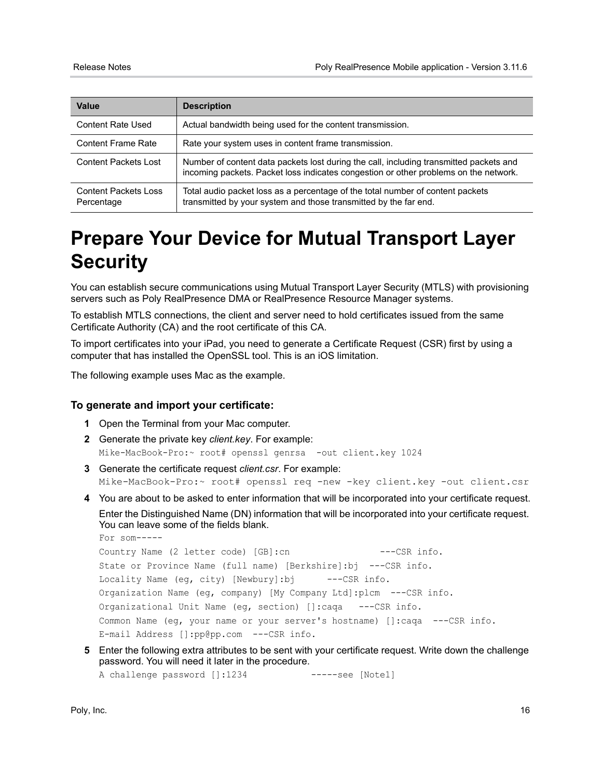| Value                                     | <b>Description</b>                                                                                                                                                             |
|-------------------------------------------|--------------------------------------------------------------------------------------------------------------------------------------------------------------------------------|
| Content Rate Used                         | Actual bandwidth being used for the content transmission.                                                                                                                      |
| <b>Content Frame Rate</b>                 | Rate your system uses in content frame transmission.                                                                                                                           |
| <b>Content Packets Lost</b>               | Number of content data packets lost during the call, including transmitted packets and<br>incoming packets. Packet loss indicates congestion or other problems on the network. |
| <b>Content Packets Loss</b><br>Percentage | Total audio packet loss as a percentage of the total number of content packets<br>transmitted by your system and those transmitted by the far end.                             |

# <span id="page-15-0"></span>**Prepare Your Device for Mutual Transport Layer Security**

You can establish secure communications using Mutual Transport Layer Security (MTLS) with provisioning servers such as Poly RealPresence DMA or RealPresence Resource Manager systems.

To establish MTLS connections, the client and server need to hold certificates issued from the same Certificate Authority (CA) and the root certificate of this CA.

To import certificates into your iPad, you need to generate a Certificate Request (CSR) first by using a computer that has installed the OpenSSL tool. This is an iOS limitation.

The following example uses Mac as the example.

#### **To generate and import your certificate:**

- **1** Open the Terminal from your Mac computer.
- **2** Generate the private key *client.key*. For example: Mike-MacBook-Pro:~ root# openssl genrsa -out client.key 1024
- **3** Generate the certificate request *client.csr*. For example: Mike-MacBook-Pro:~ root# openssl req -new -key client.key -out client.csr
- **4** You are about to be asked to enter information that will be incorporated into your certificate request. Enter the Distinguished Name (DN) information that will be incorporated into your certificate request. You can leave some of the fields blank.

```
For som-----
Country Name (2 letter code) [GB]:cn ---CSR info.
State or Province Name (full name) [Berkshire]:bj ---CSR info.
Locality Name (eg, city) [Newbury]:bj ---CSR info.
Organization Name (eg, company) [My Company Ltd]:plcm ---CSR info.
Organizational Unit Name (eg, section) []:caqa ---CSR info.
Common Name (eg, your name or your server's hostname) []:caqa ---CSR info.
E-mail Address []:pp@pp.com ---CSR info.
```
**5** Enter the following extra attributes to be sent with your certificate request. Write down the challenge password. You will need it later in the procedure.

A challenge password []:1234 -----see [Note1]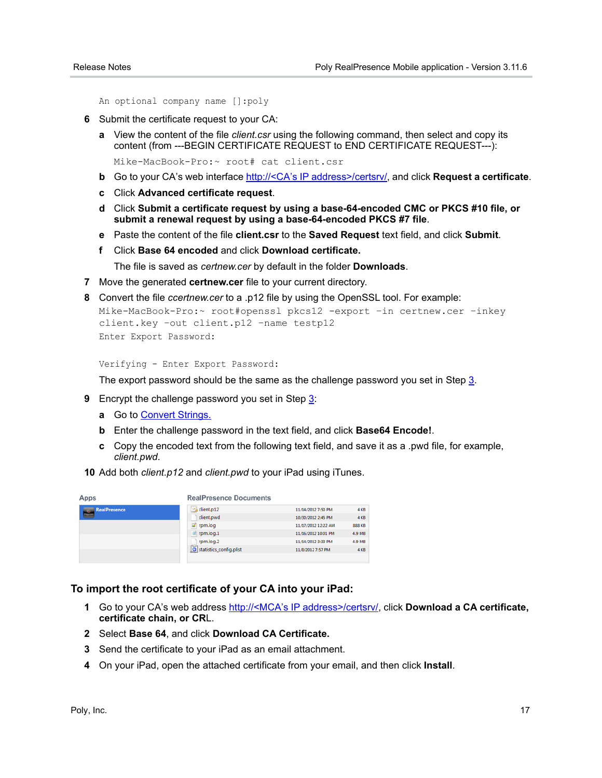An optional company name []:poly

- **6** Submit the certificate request to your CA:
	- **a** View the content of the file *client.csr* using the following command, then select and copy its content (from ---BEGIN CERTIFICATE REQUEST to END CERTIFICATE REQUEST---):

Mike-MacBook-Pro:~ root# cat client.csr

- **b** Go to your CA's web interface http://<CA's IP address>/certsrv/, and click **Request a certificate**.
- **c** Click **Advanced certificate request**.
- **d** Click **Submit a certificate request by using a base-64-encoded CMC or PKCS #10 file, or submit a renewal request by using a base-64-encoded PKCS #7 file**.
- **e** Paste the content of the file **client.csr** to the **Saved Request** text field, and click **Submit**.
- **f** Click **Base 64 encoded** and click **Download certificate.**

The file is saved as *certnew.cer* by default in the folder **Downloads**.

**7** Move the generated **certnew.cer** file to your current directory.

```
8 Convert the file ccertnew.cer to a .p12 file by using the OpenSSL tool. For example:
  Mike-MacBook-Pro:~ root#openssl pkcs12 -export –in certnew.cer –inkey 
  client.key –out client.p12 –name testp12
  Enter Export Password:
```
Verifying - Enter Export Password:

The export password should be the same as the challenge password you set in Step 3.

- **9** Encrypt the challenge password you set in Step 3:
	- **a** Go to **Convert Strings.**
	- **b** Enter the challenge password in the text field, and click **Base64 Encode!**.
	- **c** Copy the encoded text from the following text field, and save it as a .pwd file, for example, *client.pwd*.
- **10** Add both *client.p12* and *client.pwd* to your iPad using iTunes.

| Apps                                 | <b>RealPresence Documents</b> |                     |               |
|--------------------------------------|-------------------------------|---------------------|---------------|
| <b>RealPresence</b><br>$\frac{1}{2}$ | client.p12                    | 11/14/2012 7:50 PM  | 4 KB          |
|                                      | client.pwd                    | 10/30/2012 2:45 PM  | 4 KB          |
|                                      | $2$ rpm.log                   | 11/17/2012 12:22 AM | <b>888 KB</b> |
|                                      | rpm.log.1                     | 11/16/2012 10:01 PM | 4.9 MB        |
|                                      | rpm.log.2                     | 11/14/2012 3:33 PM  | 4.9 MB        |
|                                      | o statistics_config.plist     | 11/8/2012 7:57 PM   | 4 KB          |

#### **To import the root certificate of your CA into your iPad:**

- **1** Go to your CA's web address http://<MCA's IP address>/certsrv/, click **Download a CA certificate, certificate chain, or CR**L.
- **2** Select **Base 64**, and click **Download CA Certificate.**
- **3** Send the certificate to your iPad as an email attachment.
- **4** On your iPad, open the attached certificate from your email, and then click **Install**.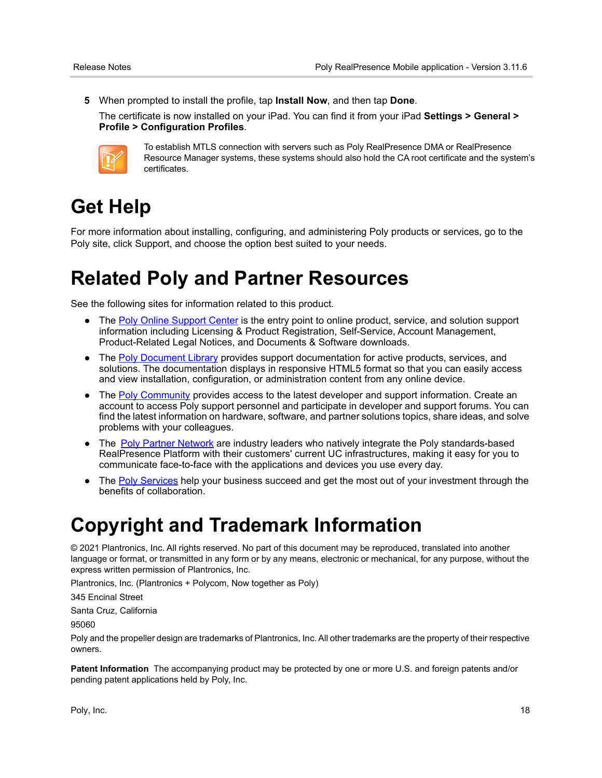**5** When prompted to install the profile, tap **Install Now**, and then tap **Done**.

The certificate is now installed on your iPad. You can find it from your iPad **Settings > General > Profile > Configuration Profiles**.



To establish MTLS connection with servers such as Poly RealPresence DMA or RealPresence Resource Manager systems, these systems should also hold the CA root certificate and the system's certificates.

# <span id="page-17-0"></span>**Get Help**

For more information about installing, configuring, and administering Poly products or services, go to the Poly site, click Support, and choose the option best suited to your needs.

# <span id="page-17-1"></span>**Related Poly and Partner Resources**

See the following sites for information related to this product.

- The [Poly Online Support Center](https://support.polycom.com/content/support.html) is the entry point to online product, service, and solution support information including Licensing & Product Registration, Self-Service, Account Management, Product-Related Legal Notices, and Documents & Software downloads.
- **●** The [Poly Document Library](https://documents.polycom.com/) provides support documentation for active products, services, and solutions. The documentation displays in responsive HTML5 format so that you can easily access and view installation, configuration, or administration content from any online device.
- **●** The [Poly Community](https://community.polycom.com/) provides access to the latest developer and support information. Create an account to access Poly support personnel and participate in developer and support forums. You can find the latest information on hardware, software, and partner solutions topics, share ideas, and solve problems with your colleagues.
- **●** The [Poly Partner Network](https://www.poly.com/us/en/partners) are industry leaders who natively integrate the Poly standards-based RealPresence Platform with their customers' current UC infrastructures, making it easy for you to communicate face-to-face with the applications and devices you use every day.
- **●** The [Poly Services](https://www.poly.com/us/en/products/services) help your business succeed and get the most out of your investment through the benefits of collaboration.

## <span id="page-17-2"></span>**Copyright and Trademark Information**

© 2021 Plantronics, Inc. All rights reserved. No part of this document may be reproduced, translated into another language or format, or transmitted in any form or by any means, electronic or mechanical, for any purpose, without the express written permission of Plantronics, Inc.

Plantronics, Inc. (Plantronics + Polycom, Now together as Poly)

345 Encinal Street

Santa Cruz, California

95060

Poly and the propeller design are trademarks of Plantronics, Inc. All other trademarks are the property of their respective owners.

**Patent Information** The accompanying product may be protected by one or more U.S. and foreign patents and/or pending patent applications held by Poly, Inc.